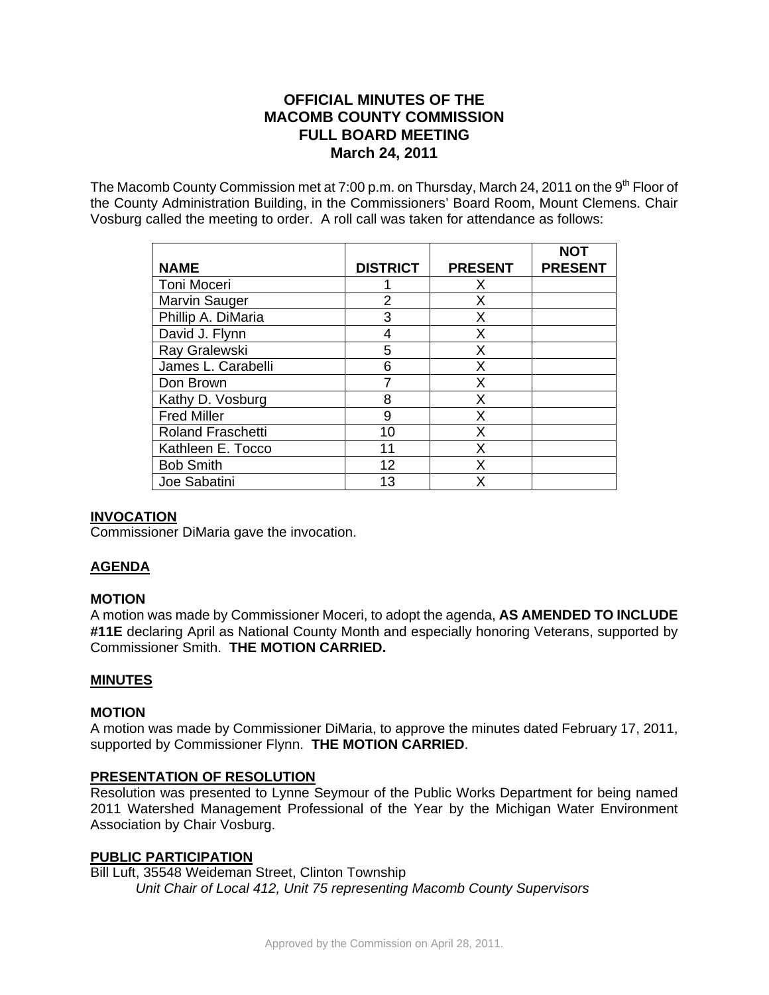# **OFFICIAL MINUTES OF THE MACOMB COUNTY COMMISSION FULL BOARD MEETING March 24, 2011**

The Macomb County Commission met at 7:00 p.m. on Thursday, March 24, 2011 on the 9<sup>th</sup> Floor of the County Administration Building, in the Commissioners' Board Room, Mount Clemens. Chair Vosburg called the meeting to order. A roll call was taken for attendance as follows:

| <b>NAME</b>              | <b>DISTRICT</b> | <b>PRESENT</b> | NOT<br><b>PRESENT</b> |
|--------------------------|-----------------|----------------|-----------------------|
| Toni Moceri              |                 | Х              |                       |
| <b>Marvin Sauger</b>     | 2               | X              |                       |
| Phillip A. DiMaria       | 3               | Х              |                       |
| David J. Flynn           | 4               | X              |                       |
| Ray Gralewski            | 5               | X              |                       |
| James L. Carabelli       | 6               | Х              |                       |
| Don Brown                |                 | X              |                       |
| Kathy D. Vosburg         | 8               | x              |                       |
| <b>Fred Miller</b>       | 9               | X              |                       |
| <b>Roland Fraschetti</b> | 10              | X              |                       |
| Kathleen E. Tocco        | 11              | X              |                       |
| <b>Bob Smith</b>         | 12              | x              |                       |
| Joe Sabatini             | 13              | x              |                       |

## **INVOCATION**

Commissioner DiMaria gave the invocation.

## **AGENDA**

#### **MOTION**

A motion was made by Commissioner Moceri, to adopt the agenda, **AS AMENDED TO INCLUDE #11E** declaring April as National County Month and especially honoring Veterans, supported by Commissioner Smith. **THE MOTION CARRIED.**

#### **MINUTES**

#### **MOTION**

A motion was made by Commissioner DiMaria, to approve the minutes dated February 17, 2011, supported by Commissioner Flynn. **THE MOTION CARRIED**.

#### **PRESENTATION OF RESOLUTION**

Resolution was presented to Lynne Seymour of the Public Works Department for being named 2011 Watershed Management Professional of the Year by the Michigan Water Environment Association by Chair Vosburg.

#### **PUBLIC PARTICIPATION**

Bill Luft, 35548 Weideman Street, Clinton Township *Unit Chair of Local 412, Unit 75 representing Macomb County Supervisors*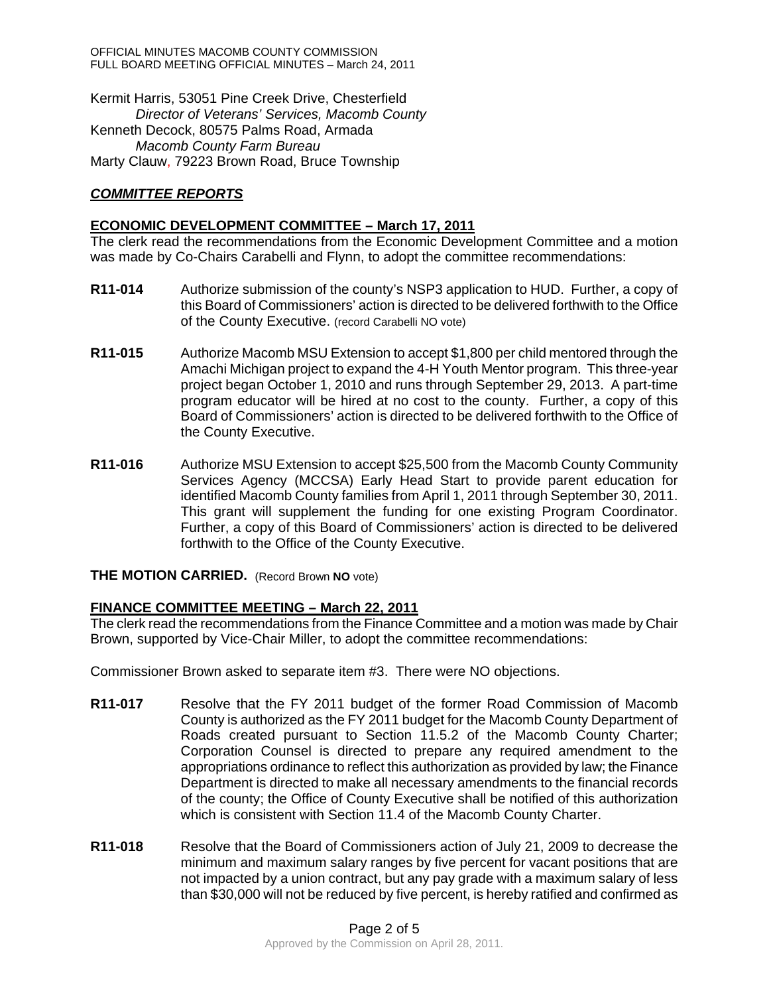Kermit Harris, 53051 Pine Creek Drive, Chesterfield *Director of Veterans' Services, Macomb County*  Kenneth Decock, 80575 Palms Road, Armada *Macomb County Farm Bureau*  Marty Clauw, 79223 Brown Road, Bruce Township

## *COMMITTEE REPORTS*

#### **ECONOMIC DEVELOPMENT COMMITTEE – March 17, 2011**

The clerk read the recommendations from the Economic Development Committee and a motion was made by Co-Chairs Carabelli and Flynn, to adopt the committee recommendations:

- **R11-014** Authorize submission of the county's NSP3 application to HUD. Further, a copy of this Board of Commissioners' action is directed to be delivered forthwith to the Office of the County Executive. (record Carabelli NO vote)
- **R11-015** Authorize Macomb MSU Extension to accept \$1,800 per child mentored through the Amachi Michigan project to expand the 4-H Youth Mentor program. This three-year project began October 1, 2010 and runs through September 29, 2013. A part-time program educator will be hired at no cost to the county. Further, a copy of this Board of Commissioners' action is directed to be delivered forthwith to the Office of the County Executive.
- **R11-016** Authorize MSU Extension to accept \$25,500 from the Macomb County Community Services Agency (MCCSA) Early Head Start to provide parent education for identified Macomb County families from April 1, 2011 through September 30, 2011. This grant will supplement the funding for one existing Program Coordinator. Further, a copy of this Board of Commissioners' action is directed to be delivered forthwith to the Office of the County Executive.

#### **THE MOTION CARRIED.** (Record Brown **NO** vote)

## **FINANCE COMMITTEE MEETING – March 22, 2011**

The clerk read the recommendations from the Finance Committee and a motion was made by Chair Brown, supported by Vice-Chair Miller, to adopt the committee recommendations:

Commissioner Brown asked to separate item #3. There were NO objections.

- **R11-017** Resolve that the FY 2011 budget of the former Road Commission of Macomb County is authorized as the FY 2011 budget for the Macomb County Department of Roads created pursuant to Section 11.5.2 of the Macomb County Charter; Corporation Counsel is directed to prepare any required amendment to the appropriations ordinance to reflect this authorization as provided by law; the Finance Department is directed to make all necessary amendments to the financial records of the county; the Office of County Executive shall be notified of this authorization which is consistent with Section 11.4 of the Macomb County Charter.
- **R11-018** Resolve that the Board of Commissioners action of July 21, 2009 to decrease the minimum and maximum salary ranges by five percent for vacant positions that are not impacted by a union contract, but any pay grade with a maximum salary of less than \$30,000 will not be reduced by five percent, is hereby ratified and confirmed as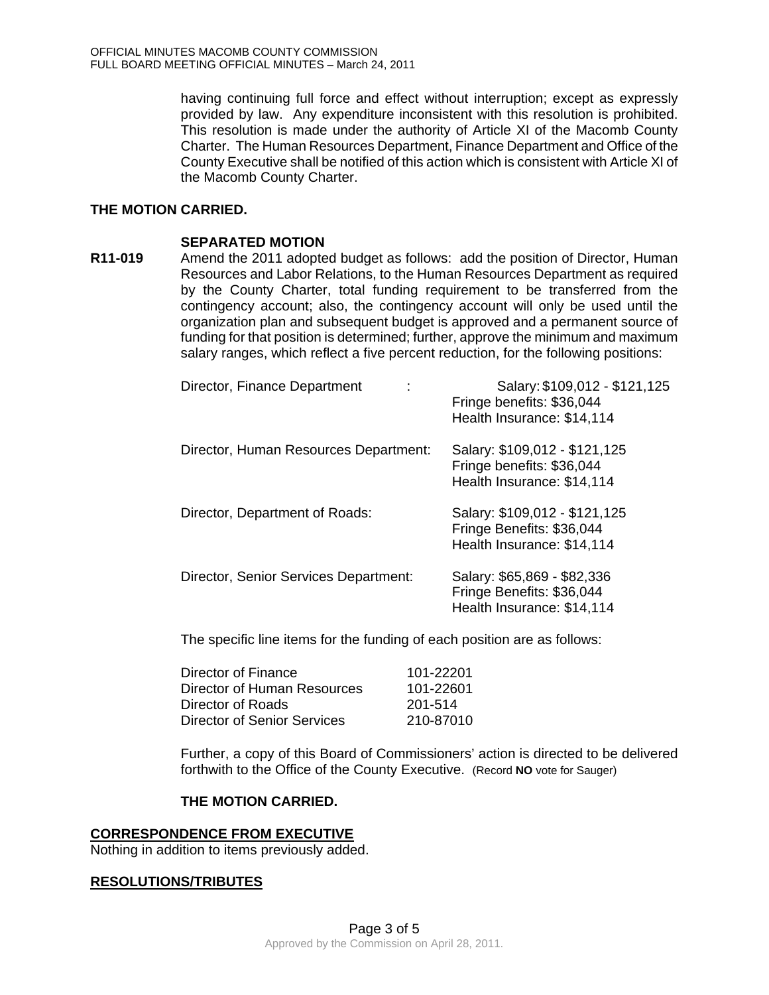having continuing full force and effect without interruption; except as expressly provided by law. Any expenditure inconsistent with this resolution is prohibited. This resolution is made under the authority of Article XI of the Macomb County Charter. The Human Resources Department, Finance Department and Office of the County Executive shall be notified of this action which is consistent with Article XI of the Macomb County Charter.

### **THE MOTION CARRIED.**

#### **SEPARATED MOTION**

**R11-019** Amend the 2011 adopted budget as follows: add the position of Director, Human Resources and Labor Relations, to the Human Resources Department as required by the County Charter, total funding requirement to be transferred from the contingency account; also, the contingency account will only be used until the organization plan and subsequent budget is approved and a permanent source of funding for that position is determined; further, approve the minimum and maximum salary ranges, which reflect a five percent reduction, for the following positions:

| Director, Finance Department          | Salary: \$109,012 - \$121,125<br>Fringe benefits: \$36,044<br>Health Insurance: \$14,114 |
|---------------------------------------|------------------------------------------------------------------------------------------|
| Director, Human Resources Department: | Salary: \$109,012 - \$121,125<br>Fringe benefits: \$36,044<br>Health Insurance: \$14,114 |
| Director, Department of Roads:        | Salary: \$109,012 - \$121,125<br>Fringe Benefits: \$36,044<br>Health Insurance: \$14,114 |
| Director, Senior Services Department: | Salary: \$65,869 - \$82,336<br>Fringe Benefits: \$36,044<br>Health Insurance: \$14,114   |

The specific line items for the funding of each position are as follows:

| 101-22201 |
|-----------|
| 101-22601 |
| 201-514   |
| 210-87010 |
|           |

Further, a copy of this Board of Commissioners' action is directed to be delivered forthwith to the Office of the County Executive. (Record **NO** vote for Sauger)

### **THE MOTION CARRIED.**

#### **CORRESPONDENCE FROM EXECUTIVE**

Nothing in addition to items previously added.

#### **RESOLUTIONS/TRIBUTES**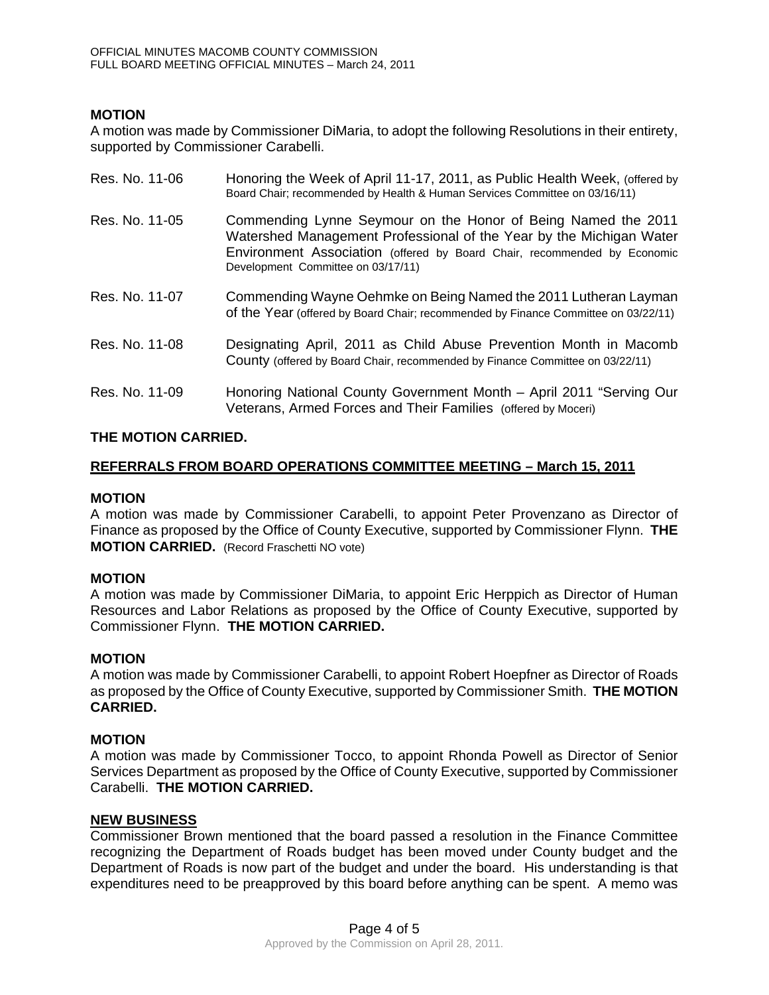## **MOTION**

A motion was made by Commissioner DiMaria, to adopt the following Resolutions in their entirety, supported by Commissioner Carabelli.

| Res. No. 11-06 | Honoring the Week of April 11-17, 2011, as Public Health Week, (offered by<br>Board Chair; recommended by Health & Human Services Committee on 03/16/11)                                                                                               |
|----------------|--------------------------------------------------------------------------------------------------------------------------------------------------------------------------------------------------------------------------------------------------------|
| Res. No. 11-05 | Commending Lynne Seymour on the Honor of Being Named the 2011<br>Watershed Management Professional of the Year by the Michigan Water<br>Environment Association (offered by Board Chair, recommended by Economic<br>Development Committee on 03/17/11) |
| Res. No. 11-07 | Commending Wayne Oehmke on Being Named the 2011 Lutheran Layman<br>of the Year (offered by Board Chair; recommended by Finance Committee on 03/22/11)                                                                                                  |
| Res. No. 11-08 | Designating April, 2011 as Child Abuse Prevention Month in Macomb<br>County (offered by Board Chair, recommended by Finance Committee on 03/22/11)                                                                                                     |
| Res. No. 11-09 | Honoring National County Government Month - April 2011 "Serving Our<br>Veterans, Armed Forces and Their Families (offered by Moceri)                                                                                                                   |

#### **THE MOTION CARRIED.**

### **REFERRALS FROM BOARD OPERATIONS COMMITTEE MEETING – March 15, 2011**

#### **MOTION**

A motion was made by Commissioner Carabelli, to appoint Peter Provenzano as Director of Finance as proposed by the Office of County Executive, supported by Commissioner Flynn. **THE MOTION CARRIED.** (Record Fraschetti NO vote)

#### **MOTION**

A motion was made by Commissioner DiMaria, to appoint Eric Herppich as Director of Human Resources and Labor Relations as proposed by the Office of County Executive, supported by Commissioner Flynn. **THE MOTION CARRIED.** 

#### **MOTION**

A motion was made by Commissioner Carabelli, to appoint Robert Hoepfner as Director of Roads as proposed by the Office of County Executive, supported by Commissioner Smith. **THE MOTION CARRIED.** 

#### **MOTION**

A motion was made by Commissioner Tocco, to appoint Rhonda Powell as Director of Senior Services Department as proposed by the Office of County Executive, supported by Commissioner Carabelli. **THE MOTION CARRIED.** 

#### **NEW BUSINESS**

Commissioner Brown mentioned that the board passed a resolution in the Finance Committee recognizing the Department of Roads budget has been moved under County budget and the Department of Roads is now part of the budget and under the board. His understanding is that expenditures need to be preapproved by this board before anything can be spent. A memo was